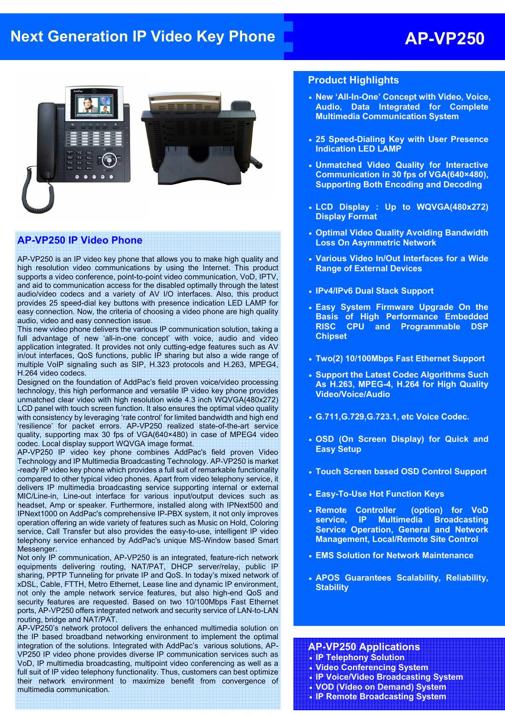# **Next Generation IP Video Key Phone AP-VP250**



## **AP-VP250 IP Video Phone**

AP-VP250 is an IP video key phone that allows you to make high quality and high resolution video communications by using the Internet. This product supports a video conference, point-to-point video communication, VoD, IPTV, and aid to communication access for the disabled optimally through the latest audio/video codecs and a variety of AV I/O interfaces. Also, this product provides 25 speed-dial key buttons with presence indication LED LAMP for easy connection. Now, the criteria of choosing a video phone are high quality audio, video and easy connection issue.

This new video phone delivers the various IP communication solution, taking a full advantage of new 'all-in-one concept' with voice, audio and video application integrated. It provides not only cutting-edge features such as AV in/out interfaces, QoS functions, public IP sharing but also a wide range of multiple VoIP signaling such as SIP, H.323 protocols and H.263, MPEG4, H.264 video codecs.

Designed on the foundation of AddPac's field proven voice/video processing technology, this high performance and versatile IP video key phone provides unmatched clear video with high resolution wide 4.3 inch WQVGA(480x272) LCD panel with touch screen function. It also ensures the optimal video quality with consistency by leveraging 'rate control' for limited bandwidth and high end 'resilience' for packet errors. AP-VP250 realized state-of-the-art service quality, supporting max 30 fps of VGA(640×480) in case of MPEG4 video codec. Local display support WQVGA image format.

AP-VP250 IP video key phone combines AddPac's field proven Video Technology and IP Multimedia Broadcasting Technology. AP-VP250 is market -ready IP video key phone which provides a full suit of remarkable functionality compared to other typical video phones. Apart from video telephony service, it delivers IP multimedia broadcasting service supporting internal or external MIC/Line-in, Line-out interface for various input/output devices such as headset, Amp or speaker. Furthermore, installed along with IPNext500 and IPNext1000 on AddPac's comprehensive IP-PBX system, it not only improves operation offering an wide variety of features such as Music on Hold, Coloring service, Call Transfer but also provides the easy-to-use, intelligent IP video telephony service enhanced by AddPac's unique MS-Window based Smart Messenger.

Not only IP communication, AP-VP250 is an integrated, feature-rich network equipments delivering routing, NAT/PAT, DHCP server/relay, public IP sharing, PPTP Tunneling for private IP and QoS. In today's mixed network of xDSL, Cable, FTTH, Metro Ethernet, Lease line and dynamic IP environment, not only the ample network service features, but also high-end QoS and security features are requested. Based on two 10/100Mbps Fast Ethernet ports, AP-VP250 offers integrated network and security service of LAN-to-LAN routing, bridge and NAT/PAT.

AP-VP250's network protocol delivers the enhanced multimedia solution on the IP based broadband networking environment to implement the optimal integration of the solutions. Integrated with AddPac's various solutions, AP-VP250 IP video phone provides diverse IP communication services such as VoD, IP multimedia broadcasting, multipoint video conferencing as well as a full suit of IP video telephony functionality. Thus, customers can best optimize their network environment to maximize benefit from convergence of multimedia communication.

## **Product Highlights**

- **New 'All-In-One' Concept with Video, Voice, Audio, Data Integrated for Complete Multimedia Communication System**
- **25 Speed-Dialing Key with User Presence Indication LED LAMP**
- **Unmatched Video Quality for Interactive Communication in 30 fps of VGA(640×480), Supporting Both Encoding and Decoding**
- **LCD Display : Up to WQVGA(480x272) Display Format**
- **Optimal Video Quality Avoiding Bandwidth Loss On Asymmetric Network**
- **Various Video In/Out Interfaces for a Wide Range of External Devices**
- **IPv4/IPv6 Dual Stack Support**
- **Easy System Firmware Upgrade On the Basis of High Performance Embedded RISC CPU and Programmable DSP Chipset**
- **Two(2) 10/100Mbps Fast Ethernet Support**
- **Support the Latest Codec Algorithms Such As H.263, MPEG-4, H.264 for High Quality Video/Voice/Audio**
- **G.711,G.729,G.723.1, etc Voice Codec.**
- **OSD (On Screen Display) for Quick and Easy Setup**
- **Touch Screen based OSD Control Support**
- **Easy-To-Use Hot Function Keys**
- **Remote Controller (option) for VoD service, IP Multimedia Broadcasting Service Operation, General and Network Management, Local/Remote Site Control**
- **EMS Solution for Network Maintenance**
- **APOS Guarantees Scalability, Reliability, Stability**

### **AP-VP250 Applications**

- **IP Telephony Solution**
- **Video Conferencing System**
- **IP Voice/Video Broadcasting System**
- **VOD (Video on Demand) System**
- **IP Remote Broadcasting System**